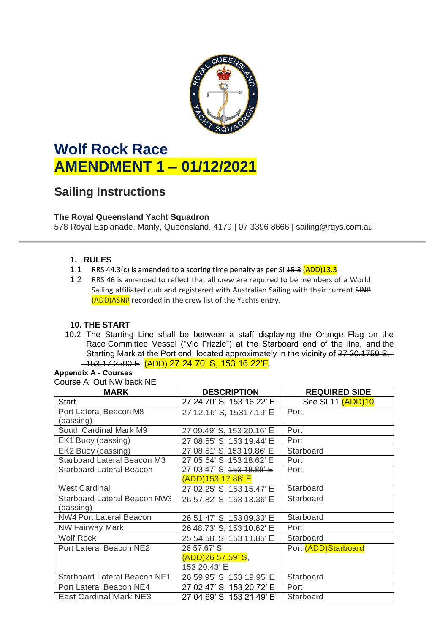

# **Wolf Rock Race AMENDMENT 1 – 01/12/2021**

## **Sailing Instructions**

#### **The Royal Queensland Yacht Squadron**

578 Royal Esplanade, Manly, Queensland, 4179 | 07 3396 8666 | sailing@rqys.com.au

#### **1. RULES**

- 1.1 RRS 44.3(c) is amended to a scoring time penalty as per SI  $\frac{45.3}{(ADD)13.3}$
- 1.2 RRS 46 is amended to reflect that all crew are required to be members of a World Sailing affiliated club and registered with Australian Sailing with their current SIN# (ADD)ASN# recorded in the crew list of the Yachts entry.

#### **10. THE START**

10.2 The Starting Line shall be between a staff displaying the Orange Flag on the Race Committee Vessel ("Vic Frizzle") at the Starboard end of the line, and the Starting Mark at the Port end, located approximately in the vicinity of 27 20.1750 S, 153 17.2500 E (ADD) 27 24.70' S, 153 16.22'E.

### **Appendix A - Courses**

Course A: Out NW back NE

| <b>MARK</b>                         | <b>DESCRIPTION</b>        | <b>REQUIRED SIDE</b> |
|-------------------------------------|---------------------------|----------------------|
| <b>Start</b>                        | 27 24.70' S, 153 16.22' E | See SI 44 (ADD)10    |
| Port Lateral Beacon M8              | 27 12.16' S, 15317.19' E  | Port                 |
| (passing)                           |                           |                      |
| South Cardinal Mark M9              | 27 09.49' S, 153 20.16' E | Port                 |
| EK1 Buoy (passing)                  | 27 08.55' S, 153 19.44' E | Port                 |
| EK2 Buoy (passing)                  | 27 08.51' S, 153 19.86' E | Starboard            |
| <b>Starboard Lateral Beacon M3</b>  | 27 05.64' S, 153 18.62' E | Port                 |
| <b>Starboard Lateral Beacon</b>     | 27 03.47' S, 453 18.88' E | Port                 |
|                                     | (ADD)153 17.88' E         |                      |
| <b>West Cardinal</b>                | 27 02.25' S, 153 15.47' E | Starboard            |
| <b>Starboard Lateral Beacon NW3</b> | 26 57.82' S, 153 13.36' E | Starboard            |
| (passing)                           |                           |                      |
| <b>NW4 Port Lateral Beacon</b>      | 26 51.47' S, 153 09.30' E | Starboard            |
| <b>NW Fairway Mark</b>              | 26 48.73' S, 153 10.62' E | Port                 |
| <b>Wolf Rock</b>                    | 25 54.58' S, 153 11.85' E | Starboard            |
| Port Lateral Beacon NE2             | 26 57.67 S                | Port (ADD)Starboard  |
|                                     | (ADD)26 57.59' S,         |                      |
|                                     | 153 20.43' E              |                      |
| <b>Starboard Lateral Beacon NE1</b> | 26 59.95' S, 153 19.95' E | Starboard            |
| Port Lateral Beacon NE4             | 27 02.47' S, 153 20.72' E | Port                 |
| <b>East Cardinal Mark NE3</b>       | 27 04.69' S, 153 21.49' E | Starboard            |